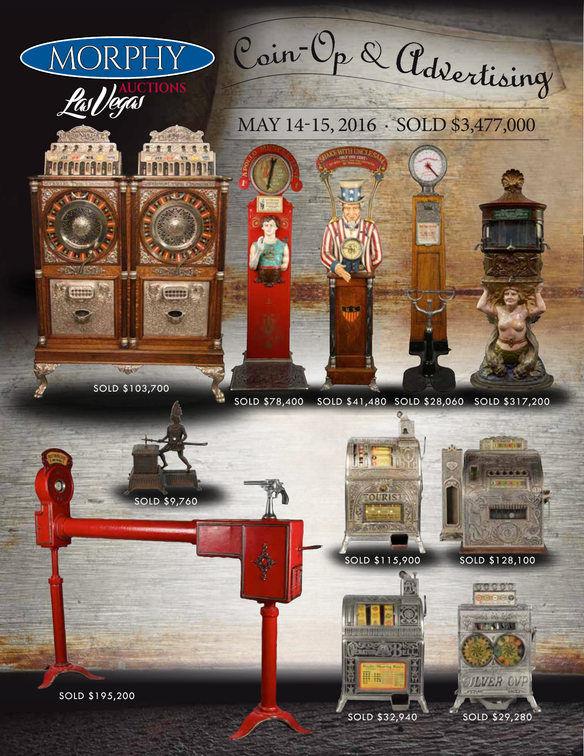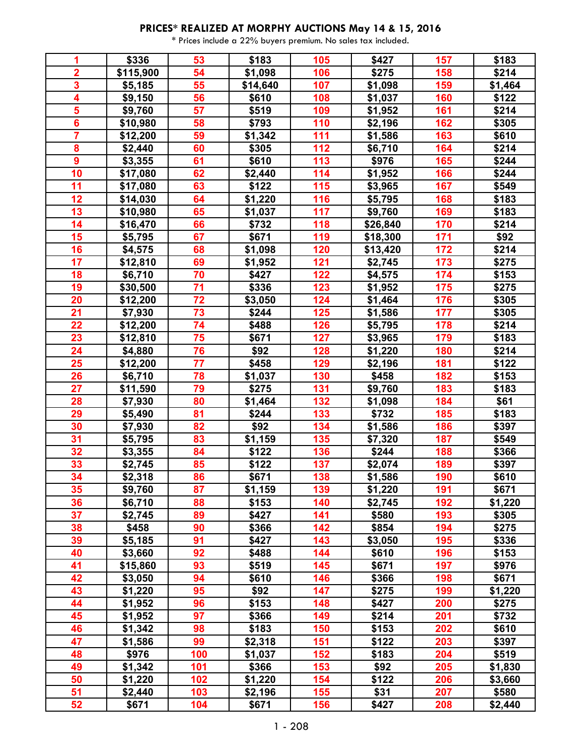| 1                       | \$336     | 53  | \$183    | 105 | \$427    | 157 | \$183   |
|-------------------------|-----------|-----|----------|-----|----------|-----|---------|
| $\overline{2}$          | \$115,900 | 54  | \$1,098  | 106 | \$275    | 158 | \$214   |
| $\overline{\mathbf{3}}$ | \$5,185   | 55  | \$14,640 | 107 | \$1,098  | 159 | \$1,464 |
| 4                       | \$9,150   | 56  | \$610    | 108 | \$1,037  | 160 | \$122   |
| $\overline{\mathbf{5}}$ | \$9,760   | 57  | \$519    | 109 | \$1,952  | 161 | \$214   |
| $\overline{\mathbf{6}}$ | \$10,980  | 58  | \$793    | 110 | \$2,196  | 162 | \$305   |
| $\overline{\mathbf{7}}$ | \$12,200  | 59  | \$1,342  | 111 | \$1,586  | 163 | \$610   |
| 8                       | \$2,440   | 60  | \$305    | 112 | \$6,710  | 164 | \$214   |
| $\boldsymbol{9}$        | \$3,355   | 61  | \$610    | 113 | \$976    | 165 | \$244   |
| 10                      | \$17,080  | 62  | \$2,440  | 114 | \$1,952  | 166 | \$244   |
| 11                      | \$17,080  | 63  | \$122    | 115 | \$3,965  | 167 | \$549   |
| 12                      | \$14,030  | 64  | \$1,220  | 116 | \$5,795  | 168 | \$183   |
| 13                      | \$10,980  | 65  | \$1,037  | 117 | \$9,760  | 169 | \$183   |
| 14                      | \$16,470  | 66  | \$732    | 118 | \$26,840 | 170 | \$214   |
| 15                      | \$5,795   | 67  | \$671    | 119 | \$18,300 | 171 | \$92    |
| 16                      | \$4,575   | 68  | \$1,098  | 120 | \$13,420 | 172 | \$214   |
| 17                      | \$12,810  | 69  | \$1,952  | 121 | \$2,745  | 173 | \$275   |
| 18                      | \$6,710   | 70  | \$427    | 122 | \$4,575  | 174 | \$153   |
| 19                      | \$30,500  | 71  | \$336    | 123 | \$1,952  | 175 | \$275   |
| 20                      | \$12,200  | 72  | \$3,050  | 124 | \$1,464  | 176 | \$305   |
| 21                      | \$7,930   | 73  | \$244    | 125 | \$1,586  | 177 | \$305   |
| 22                      | \$12,200  | 74  | \$488    | 126 | \$5,795  | 178 | \$214   |
| 23                      | \$12,810  | 75  | \$671    | 127 | \$3,965  | 179 | \$183   |
| 24                      | \$4,880   | 76  | \$92     | 128 | \$1,220  | 180 | \$214   |
| 25                      | \$12,200  | 77  | \$458    | 129 | \$2,196  | 181 | \$122   |
| 26                      | \$6,710   | 78  | \$1,037  | 130 | \$458    | 182 | \$153   |
| 27                      | \$11,590  | 79  | \$275    | 131 | \$9,760  | 183 | \$183   |
| 28                      | \$7,930   | 80  | \$1,464  | 132 | \$1,098  | 184 | \$61    |
| 29                      | \$5,490   | 81  | \$244    | 133 | \$732    | 185 | \$183   |
| 30                      | \$7,930   | 82  | \$92     | 134 | \$1,586  | 186 | \$397   |
| 31                      | \$5,795   | 83  | \$1,159  | 135 | \$7,320  | 187 | \$549   |
| 32                      | \$3,355   | 84  | \$122    | 136 | \$244    | 188 | \$366   |
| 33                      | \$2,745   | 85  | \$122    | 137 | \$2,074  | 189 | \$397   |
| 34                      | \$2,318   | 86  | \$671    | 138 | \$1,586  | 190 | \$610   |
| 35                      | \$9,760   | 87  | \$1,159  | 139 | \$1,220  | 191 | \$671   |
| 36                      | \$6,710   | 88  | \$153    | 140 | \$2,745  | 192 | \$1,220 |
| 37                      | \$2,745   | 89  | \$427    | 141 | \$580    | 193 | \$305   |
| 38                      | \$458     | 90  | \$366    | 142 | \$854    | 194 | \$275   |
| 39                      | \$5,185   | 91  | \$427    | 143 | \$3,050  | 195 | \$336   |
| 40                      | \$3,660   | 92  | \$488    | 144 | \$610    | 196 | \$153   |
| 41                      | \$15,860  | 93  | \$519    | 145 | \$671    | 197 | \$976   |
| 42                      | \$3,050   | 94  | \$610    | 146 | \$366    | 198 | \$671   |
| 43                      | \$1,220   | 95  | \$92     | 147 | \$275    | 199 | \$1,220 |
| 44                      | \$1,952   | 96  | \$153    | 148 | \$427    | 200 | \$275   |
| 45                      | \$1,952   | 97  | \$366    | 149 | \$214    | 201 | \$732   |
| 46                      | \$1,342   | 98  | \$183    | 150 | \$153    | 202 | \$610   |
| 47                      | \$1,586   | 99  | \$2,318  | 151 | \$122    | 203 | \$397   |
| 48                      | \$976     | 100 | \$1,037  | 152 | \$183    | 204 | \$519   |
| 49                      | \$1,342   | 101 | \$366    | 153 | \$92     | 205 | \$1,830 |
| 50                      | \$1,220   | 102 | \$1,220  | 154 | \$122    | 206 | \$3,660 |
| 51                      | \$2,440   | 103 | \$2,196  | 155 | \$31     | 207 | \$580   |
| 52                      | \$671     | 104 | \$671    | 156 | \$427    | 208 | \$2,440 |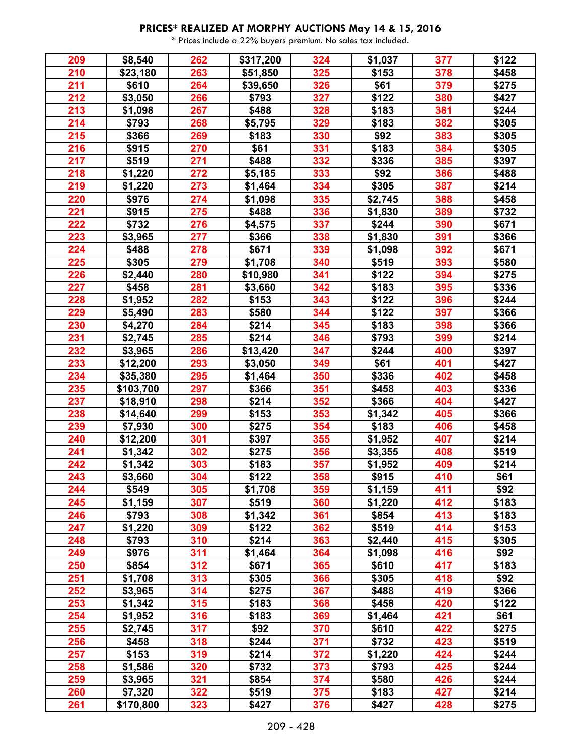| 209 | \$8,540   | 262 | \$317,200 | 324 | \$1,037 | 377 | \$122 |
|-----|-----------|-----|-----------|-----|---------|-----|-------|
| 210 | \$23,180  | 263 | \$51,850  | 325 | \$153   | 378 | \$458 |
| 211 | \$610     | 264 | \$39,650  | 326 | \$61    | 379 | \$275 |
| 212 | \$3,050   | 266 | \$793     | 327 | \$122   | 380 | \$427 |
| 213 | \$1,098   | 267 | \$488     | 328 | \$183   | 381 | \$244 |
| 214 | \$793     | 268 | \$5,795   | 329 | \$183   | 382 | \$305 |
| 215 | \$366     | 269 | \$183     | 330 | \$92    | 383 | \$305 |
| 216 | \$915     | 270 | \$61      | 331 | \$183   | 384 | \$305 |
| 217 | \$519     | 271 | \$488     | 332 | \$336   | 385 | \$397 |
| 218 | \$1,220   | 272 | \$5,185   | 333 | \$92    | 386 | \$488 |
| 219 | \$1,220   | 273 | \$1,464   | 334 | \$305   | 387 | \$214 |
| 220 | \$976     | 274 | \$1,098   | 335 | \$2,745 | 388 | \$458 |
| 221 | \$915     | 275 | \$488     | 336 | \$1,830 | 389 | \$732 |
| 222 | \$732     | 276 | \$4,575   | 337 | \$244   | 390 | \$671 |
| 223 | \$3,965   | 277 | \$366     | 338 | \$1,830 | 391 | \$366 |
| 224 | \$488     | 278 | \$671     | 339 | \$1,098 | 392 | \$671 |
| 225 | \$305     | 279 | \$1,708   | 340 | \$519   | 393 | \$580 |
| 226 | \$2,440   | 280 | \$10,980  | 341 | \$122   | 394 | \$275 |
| 227 | \$458     | 281 | \$3,660   | 342 | \$183   | 395 | \$336 |
| 228 | \$1,952   | 282 | \$153     | 343 | \$122   | 396 | \$244 |
| 229 | \$5,490   | 283 | \$580     | 344 | \$122   | 397 | \$366 |
| 230 | \$4,270   | 284 | \$214     | 345 | \$183   | 398 | \$366 |
| 231 | \$2,745   | 285 | \$214     | 346 | \$793   | 399 | \$214 |
| 232 | \$3,965   | 286 | \$13,420  | 347 | \$244   | 400 | \$397 |
| 233 | \$12,200  | 293 | \$3,050   | 349 | \$61    | 401 | \$427 |
| 234 | \$35,380  | 295 | \$1,464   | 350 | \$336   | 402 | \$458 |
| 235 | \$103,700 | 297 | \$366     | 351 | \$458   | 403 | \$336 |
| 237 | \$18,910  | 298 | \$214     | 352 | \$366   | 404 | \$427 |
| 238 | \$14,640  | 299 | \$153     | 353 | \$1,342 | 405 | \$366 |
| 239 | \$7,930   | 300 | \$275     | 354 | \$183   | 406 | \$458 |
| 240 | \$12,200  | 301 | \$397     | 355 | \$1,952 | 407 | \$214 |
| 241 | \$1,342   | 302 | \$275     | 356 | \$3,355 | 408 | \$519 |
| 242 | \$1,342   | 303 | \$183     | 357 | \$1,952 | 409 | \$214 |
| 243 | \$3,660   | 304 | \$122     | 358 | \$915   | 410 | \$61  |
| 244 | \$549     | 305 | \$1,708   | 359 | \$1,159 | 411 | \$92  |
| 245 | \$1,159   | 307 | \$519     | 360 | \$1,220 | 412 | \$183 |
| 246 | \$793     | 308 | \$1,342   | 361 | \$854   | 413 | \$183 |
| 247 | \$1,220   | 309 | \$122     | 362 | \$519   | 414 | \$153 |
| 248 | \$793     | 310 | \$214     | 363 | \$2,440 | 415 | \$305 |
| 249 | \$976     | 311 | \$1,464   | 364 | \$1,098 | 416 | \$92  |
| 250 | \$854     | 312 | \$671     | 365 | \$610   | 417 | \$183 |
| 251 | \$1,708   | 313 | \$305     | 366 | \$305   | 418 | \$92  |
| 252 | \$3,965   | 314 | \$275     | 367 | \$488   | 419 | \$366 |
| 253 | \$1,342   | 315 | \$183     | 368 | \$458   | 420 | \$122 |
| 254 | \$1,952   | 316 | \$183     | 369 | \$1,464 | 421 | \$61  |
| 255 | \$2,745   | 317 | \$92      | 370 | \$610   | 422 | \$275 |
| 256 | \$458     | 318 | \$244     | 371 | \$732   | 423 | \$519 |
| 257 | \$153     | 319 | \$214     | 372 | \$1,220 | 424 | \$244 |
| 258 | \$1,586   | 320 | \$732     | 373 | \$793   | 425 | \$244 |
| 259 | \$3,965   | 321 | \$854     | 374 | \$580   | 426 | \$244 |
| 260 | \$7,320   | 322 | \$519     | 375 | \$183   | 427 | \$214 |
| 261 | \$170,800 | 323 | \$427     | 376 | \$427   | 428 | \$275 |
|     |           |     |           |     |         |     |       |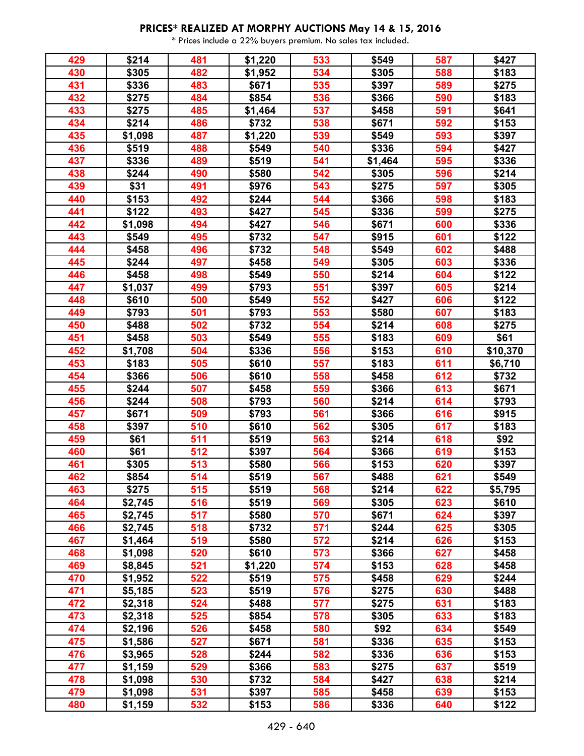| 429 | \$214   | 481 | \$1,220 | 533 | \$549   | 587 | \$427    |
|-----|---------|-----|---------|-----|---------|-----|----------|
| 430 | \$305   | 482 | \$1,952 | 534 | \$305   | 588 | \$183    |
| 431 | \$336   | 483 | \$671   | 535 | \$397   | 589 | \$275    |
| 432 | \$275   | 484 | \$854   | 536 | \$366   | 590 | \$183    |
| 433 | \$275   | 485 | \$1,464 | 537 | \$458   | 591 | \$641    |
| 434 | \$214   | 486 | \$732   | 538 | \$671   | 592 | \$153    |
| 435 | \$1,098 | 487 | \$1,220 | 539 | \$549   | 593 | \$397    |
| 436 | \$519   | 488 | \$549   | 540 | \$336   | 594 | \$427    |
| 437 | \$336   | 489 | \$519   | 541 | \$1,464 | 595 | \$336    |
| 438 | \$244   | 490 | \$580   | 542 | \$305   | 596 | \$214    |
| 439 | \$31    | 491 | \$976   | 543 | \$275   | 597 | \$305    |
| 440 | \$153   | 492 | \$244   | 544 | \$366   | 598 | \$183    |
| 441 | \$122   | 493 | \$427   | 545 | \$336   | 599 | \$275    |
| 442 | \$1,098 | 494 | \$427   | 546 | \$671   | 600 | \$336    |
| 443 | \$549   | 495 | \$732   | 547 | \$915   | 601 | \$122    |
| 444 | \$458   | 496 | \$732   | 548 | \$549   | 602 | \$488    |
| 445 | \$244   | 497 | \$458   | 549 | \$305   | 603 | \$336    |
| 446 | \$458   | 498 | \$549   | 550 | \$214   | 604 | \$122    |
| 447 | \$1,037 | 499 | \$793   | 551 | \$397   | 605 | \$214    |
| 448 | \$610   | 500 | \$549   | 552 | \$427   | 606 | \$122    |
| 449 | \$793   | 501 | \$793   | 553 | \$580   | 607 | \$183    |
| 450 | \$488   | 502 | \$732   | 554 | \$214   | 608 | \$275    |
| 451 | \$458   | 503 | \$549   | 555 | \$183   | 609 | \$61     |
| 452 | \$1,708 | 504 | \$336   | 556 | \$153   | 610 | \$10,370 |
| 453 | \$183   | 505 | \$610   | 557 | \$183   | 611 | \$6,710  |
| 454 | \$366   | 506 | \$610   | 558 | \$458   | 612 | \$732    |
| 455 | \$244   | 507 | \$458   | 559 | \$366   | 613 | \$671    |
| 456 | \$244   | 508 | \$793   | 560 | \$214   | 614 | \$793    |
| 457 | \$671   | 509 | \$793   | 561 | \$366   | 616 | \$915    |
| 458 | \$397   | 510 | \$610   | 562 | \$305   | 617 | \$183    |
| 459 | \$61    | 511 | \$519   | 563 | \$214   | 618 | \$92     |
| 460 | \$61    | 512 | \$397   | 564 | \$366   | 619 | \$153    |
| 461 | \$305   | 513 | \$580   | 566 | \$153   | 620 | \$397    |
| 462 | \$854   | 514 | \$519   | 567 | \$488   | 621 | \$549    |
| 463 | \$275   | 515 | \$519   | 568 | \$214   | 622 | \$5,795  |
| 464 | \$2,745 | 516 | \$519   | 569 | \$305   | 623 | \$610    |
| 465 | \$2,745 | 517 | \$580   | 570 | \$671   | 624 | \$397    |
| 466 | \$2,745 | 518 | \$732   | 571 | \$244   | 625 | \$305    |
| 467 | \$1,464 | 519 | \$580   | 572 | \$214   | 626 | \$153    |
| 468 | \$1,098 | 520 | \$610   | 573 | \$366   | 627 | \$458    |
| 469 | \$8,845 | 521 | \$1,220 | 574 | \$153   | 628 | \$458    |
| 470 | \$1,952 | 522 | \$519   | 575 | \$458   | 629 | \$244    |
| 471 | \$5,185 | 523 | \$519   | 576 | \$275   | 630 | \$488    |
| 472 | \$2,318 | 524 | \$488   | 577 | \$275   | 631 | \$183    |
| 473 | \$2,318 | 525 | \$854   | 578 | \$305   | 633 | \$183    |
| 474 | \$2,196 | 526 | \$458   | 580 | \$92    | 634 | \$549    |
| 475 | \$1,586 | 527 | \$671   | 581 | \$336   | 635 | \$153    |
| 476 | \$3,965 | 528 | \$244   | 582 | \$336   | 636 | \$153    |
| 477 | \$1,159 | 529 | \$366   | 583 | \$275   | 637 | \$519    |
| 478 | \$1,098 | 530 | \$732   | 584 | \$427   | 638 | \$214    |
| 479 | \$1,098 | 531 | \$397   | 585 | \$458   | 639 | \$153    |
| 480 | \$1,159 | 532 | \$153   | 586 | \$336   | 640 | \$122    |
|     |         |     |         |     |         |     |          |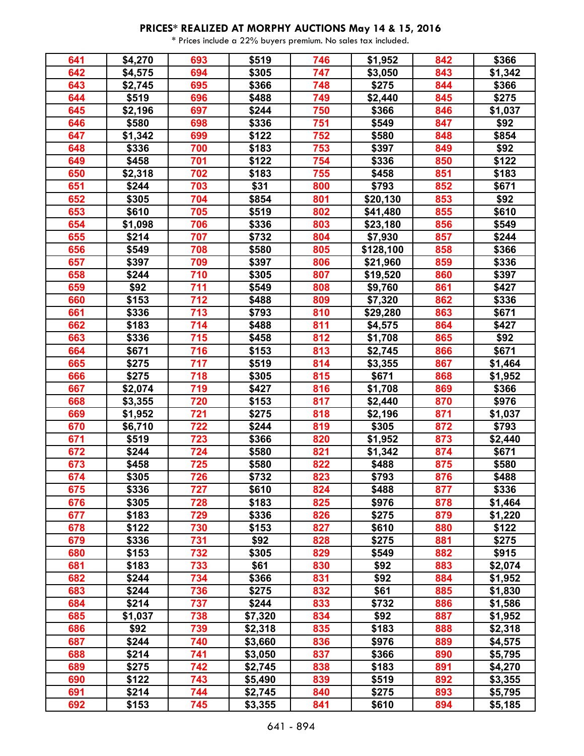| 641 | \$4,270 | 693 | \$519   | 746 | \$1,952   | 842 | \$366   |
|-----|---------|-----|---------|-----|-----------|-----|---------|
| 642 | \$4,575 | 694 | \$305   | 747 | \$3,050   | 843 | \$1,342 |
| 643 | \$2,745 | 695 | \$366   | 748 | \$275     | 844 | \$366   |
| 644 | \$519   | 696 | \$488   | 749 | \$2,440   | 845 | \$275   |
| 645 | \$2,196 | 697 | \$244   | 750 | \$366     | 846 | \$1,037 |
| 646 | \$580   | 698 | \$336   | 751 | \$549     | 847 | \$92    |
| 647 | \$1,342 | 699 | \$122   | 752 | \$580     | 848 | \$854   |
| 648 | \$336   | 700 | \$183   | 753 | \$397     | 849 | \$92    |
| 649 | \$458   | 701 | \$122   | 754 | \$336     | 850 | \$122   |
| 650 | \$2,318 | 702 | \$183   | 755 | \$458     | 851 | \$183   |
| 651 | \$244   | 703 | \$31    | 800 | \$793     | 852 | \$671   |
| 652 | \$305   | 704 | \$854   | 801 | \$20,130  | 853 | \$92    |
| 653 | \$610   | 705 | \$519   | 802 | \$41,480  | 855 | \$610   |
| 654 | \$1,098 | 706 | \$336   | 803 | \$23,180  | 856 | \$549   |
| 655 | \$214   | 707 | \$732   | 804 | \$7,930   | 857 | \$244   |
| 656 | \$549   | 708 | \$580   | 805 | \$128,100 | 858 | \$366   |
| 657 | \$397   | 709 | \$397   | 806 | \$21,960  | 859 | \$336   |
| 658 | \$244   | 710 | \$305   | 807 | \$19,520  | 860 | \$397   |
| 659 | \$92    | 711 | \$549   | 808 | \$9,760   | 861 | \$427   |
| 660 | \$153   | 712 | \$488   | 809 | \$7,320   | 862 | \$336   |
| 661 | \$336   | 713 | \$793   | 810 | \$29,280  | 863 | \$671   |
| 662 | \$183   | 714 | \$488   | 811 | \$4,575   | 864 | \$427   |
| 663 | \$336   | 715 | \$458   | 812 | \$1,708   | 865 | \$92    |
| 664 | \$671   | 716 | \$153   | 813 | \$2,745   | 866 | \$671   |
| 665 | \$275   | 717 | \$519   | 814 | \$3,355   | 867 | \$1,464 |
| 666 | \$275   | 718 | \$305   | 815 | \$671     | 868 | \$1,952 |
| 667 | \$2,074 | 719 | \$427   | 816 | \$1,708   | 869 | \$366   |
| 668 | \$3,355 | 720 | \$153   | 817 | \$2,440   | 870 | \$976   |
| 669 | \$1,952 | 721 | \$275   | 818 | \$2,196   | 871 | \$1,037 |
| 670 | \$6,710 | 722 | \$244   | 819 | \$305     | 872 | \$793   |
| 671 | \$519   | 723 | \$366   | 820 | \$1,952   | 873 | \$2,440 |
| 672 | \$244   | 724 | \$580   | 821 | \$1,342   | 874 | \$671   |
| 673 | \$458   | 725 | \$580   | 822 | \$488     | 875 | \$580   |
| 674 | \$305   | 726 | \$732   | 823 | \$793     | 876 | \$488   |
| 675 | \$336   | 727 | \$610   | 824 | \$488     | 877 | \$336   |
| 676 | \$305   | 728 | \$183   | 825 | \$976     | 878 | \$1,464 |
| 677 | \$183   | 729 | \$336   | 826 | \$275     | 879 | \$1,220 |
| 678 | \$122   | 730 | \$153   | 827 | \$610     | 880 | \$122   |
| 679 | \$336   | 731 | \$92    | 828 | \$275     | 881 | \$275   |
| 680 | \$153   | 732 | \$305   | 829 | \$549     | 882 | \$915   |
| 681 | \$183   | 733 | \$61    | 830 | \$92      | 883 | \$2,074 |
| 682 | \$244   | 734 | \$366   | 831 | \$92      | 884 | \$1,952 |
| 683 | \$244   | 736 | \$275   | 832 | \$61      | 885 | \$1,830 |
| 684 | \$214   | 737 | \$244   | 833 | \$732     | 886 | \$1,586 |
| 685 | \$1,037 | 738 | \$7,320 | 834 | \$92      | 887 | \$1,952 |
| 686 | \$92    | 739 | \$2,318 | 835 | \$183     | 888 | \$2,318 |
| 687 | \$244   | 740 | \$3,660 | 836 | \$976     | 889 | \$4,575 |
| 688 | \$214   | 741 | \$3,050 | 837 | \$366     | 890 | \$5,795 |
| 689 | \$275   | 742 | \$2,745 | 838 | \$183     | 891 | \$4,270 |
| 690 | \$122   | 743 | \$5,490 | 839 | \$519     | 892 | \$3,355 |
| 691 | \$214   | 744 | \$2,745 | 840 | \$275     | 893 | \$5,795 |
| 692 | \$153   | 745 | \$3,355 | 841 | \$610     | 894 | \$5,185 |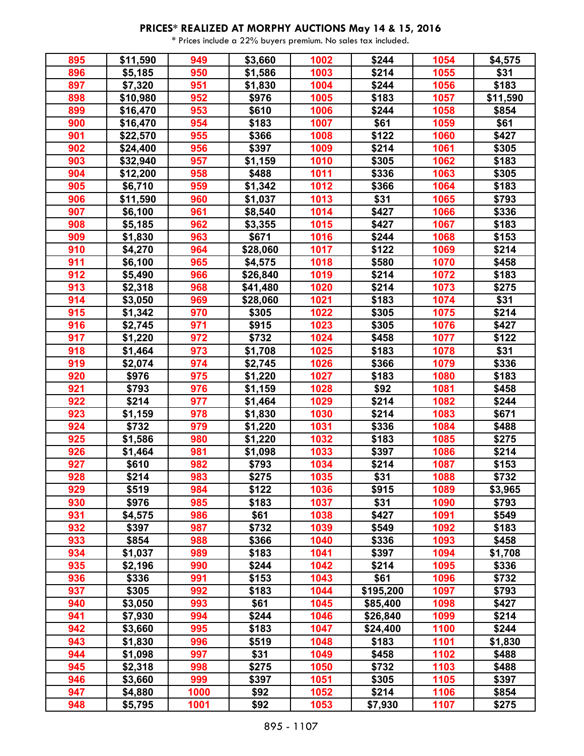| 895 | \$11,590 | 949  | \$3,660  | 1002             | \$244     | 1054 | \$4,575  |
|-----|----------|------|----------|------------------|-----------|------|----------|
| 896 | \$5,185  | 950  | \$1,586  | 1003             | \$214     | 1055 | \$31     |
| 897 | \$7,320  | 951  | \$1,830  | 1004             | \$244     | 1056 | \$183    |
| 898 | \$10,980 | 952  | \$976    | 1005             | \$183     | 1057 | \$11,590 |
| 899 | \$16,470 | 953  | \$610    | 1006             | \$244     | 1058 | \$854    |
| 900 | \$16,470 | 954  | \$183    | 1007             | \$61      | 1059 | \$61     |
| 901 | \$22,570 | 955  | \$366    | 1008             | \$122     | 1060 | \$427    |
| 902 | \$24,400 | 956  | \$397    | 1009             | \$214     | 1061 | \$305    |
| 903 | \$32,940 | 957  | \$1,159  | 1010             | \$305     | 1062 | \$183    |
| 904 | \$12,200 | 958  | \$488    | 1011             | \$336     | 1063 | \$305    |
| 905 | \$6,710  | 959  | \$1,342  | 1012             | \$366     | 1064 | \$183    |
| 906 | \$11,590 | 960  | \$1,037  | 1013             | \$31      | 1065 | \$793    |
| 907 | \$6,100  | 961  | \$8,540  | $\frac{1}{1014}$ | \$427     | 1066 | \$336    |
| 908 | \$5,185  | 962  | \$3,355  | 1015             | \$427     | 1067 | \$183    |
| 909 | \$1,830  | 963  | \$671    | 1016             | \$244     | 1068 | \$153    |
| 910 | \$4,270  | 964  | \$28,060 | 1017             | \$122     | 1069 | \$214    |
| 911 | \$6,100  | 965  | \$4,575  | 1018             | \$580     | 1070 | \$458    |
| 912 | \$5,490  | 966  | \$26,840 | 1019             | \$214     | 1072 | \$183    |
| 913 | \$2,318  | 968  | \$41,480 | 1020             | \$214     | 1073 | \$275    |
| 914 | \$3,050  | 969  | \$28,060 | 1021             | \$183     | 1074 | \$31     |
| 915 | \$1,342  | 970  | \$305    | 1022             | \$305     | 1075 | \$214    |
| 916 | \$2,745  | 971  | \$915    | 1023             | \$305     | 1076 | \$427    |
| 917 | \$1,220  | 972  | \$732    | 1024             | \$458     | 1077 | \$122    |
| 918 | \$1,464  | 973  | \$1,708  | 1025             | \$183     | 1078 | \$31     |
| 919 | \$2,074  | 974  | \$2,745  | 1026             | \$366     | 1079 | \$336    |
| 920 | \$976    | 975  | \$1,220  | 1027             | \$183     | 1080 | \$183    |
| 921 | \$793    | 976  | \$1,159  | 1028             | \$92      | 1081 | \$458    |
| 922 | \$214    | 977  | \$1,464  | 1029             | \$214     | 1082 | \$244    |
| 923 | \$1,159  | 978  | \$1,830  | 1030             | \$214     | 1083 | \$671    |
| 924 | \$732    | 979  | \$1,220  | 1031             | \$336     | 1084 | \$488    |
| 925 | \$1,586  | 980  | \$1,220  | 1032             | \$183     | 1085 | \$275    |
| 926 | \$1,464  | 981  | \$1,098  | 1033             | \$397     | 1086 | \$214    |
| 927 | \$610    | 982  | \$793    | 1034             | \$214     | 1087 | \$153    |
| 928 | \$214    | 983  | \$275    | 1035             | \$31      | 1088 | \$732    |
| 929 | \$519    | 984  | \$122    | 1036             | \$915     | 1089 | \$3,965  |
| 930 | \$976    | 985  | \$183    | 1037             | \$31      | 1090 | \$793    |
| 931 | \$4,575  | 986  | \$61     | 1038             | \$427     | 1091 | \$549    |
| 932 | \$397    | 987  | \$732    | 1039             | \$549     | 1092 | \$183    |
| 933 | \$854    | 988  | \$366    | 1040             | \$336     | 1093 | \$458    |
| 934 | \$1,037  | 989  | \$183    | 1041             | \$397     | 1094 | \$1,708  |
| 935 | \$2,196  | 990  | \$244    | 1042             | \$214     | 1095 | \$336    |
| 936 | \$336    | 991  | \$153    | 1043             | \$61      | 1096 | \$732    |
| 937 | \$305    | 992  | \$183    | 1044             | \$195,200 | 1097 | \$793    |
| 940 | \$3,050  | 993  | \$61     | 1045             | \$85,400  | 1098 | \$427    |
| 941 | \$7,930  | 994  | \$244    | 1046             | \$26,840  | 1099 | \$214    |
| 942 | \$3,660  | 995  | \$183    | 1047             | \$24,400  | 1100 | \$244    |
| 943 | \$1,830  | 996  | \$519    | 1048             | \$183     | 1101 | \$1,830  |
| 944 | \$1,098  | 997  | \$31     | 1049             | \$458     | 1102 | \$488    |
| 945 | \$2,318  | 998  | \$275    | 1050             | \$732     | 1103 | \$488    |
| 946 | \$3,660  | 999  | \$397    | 1051             | \$305     | 1105 | \$397    |
| 947 | \$4,880  | 1000 | \$92     | 1052             | \$214     | 1106 | \$854    |
| 948 | \$5,795  | 1001 | \$92     | 1053             | \$7,930   | 1107 | \$275    |
|     |          |      |          |                  |           |      |          |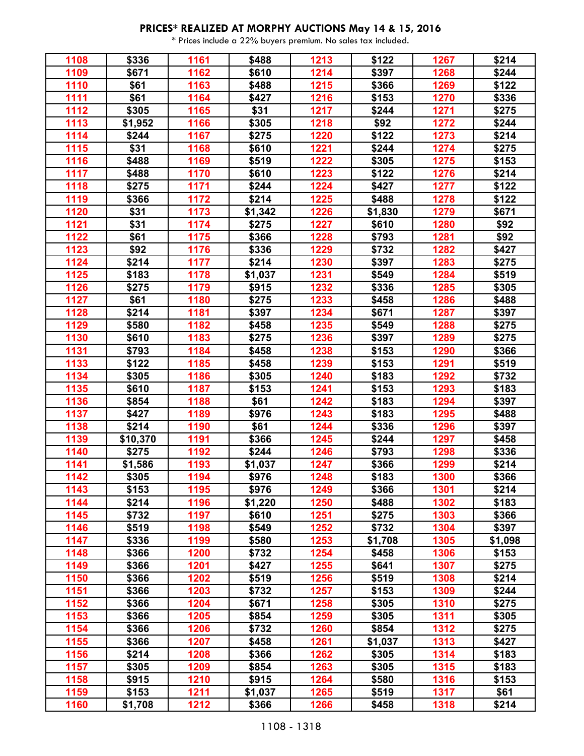| 1108 | \$336    | 1161 | \$488   | 1213 | \$122   | 1267 | \$214   |
|------|----------|------|---------|------|---------|------|---------|
| 1109 | \$671    | 1162 | \$610   | 1214 | \$397   | 1268 | \$244   |
| 1110 | \$61     | 1163 | \$488   | 1215 | \$366   | 1269 | \$122   |
| 1111 | \$61     | 1164 | \$427   | 1216 | \$153   | 1270 | \$336   |
| 1112 | \$305    | 1165 | \$31    | 1217 | \$244   | 1271 | \$275   |
| 1113 | \$1,952  | 1166 | \$305   | 1218 | \$92    | 1272 | \$244   |
| 1114 | \$244    | 1167 | \$275   | 1220 | \$122   | 1273 | \$214   |
| 1115 | \$31     | 1168 | \$610   | 1221 | \$244   | 1274 | \$275   |
| 1116 | \$488    | 1169 | \$519   | 1222 | \$305   | 1275 | \$153   |
| 1117 | \$488    | 1170 | \$610   | 1223 | \$122   | 1276 | \$214   |
| 1118 | \$275    | 1171 | \$244   | 1224 | \$427   | 1277 | \$122   |
| 1119 | \$366    | 1172 | \$214   | 1225 | \$488   | 1278 | \$122   |
| 1120 | \$31     | 1173 | \$1,342 | 1226 | \$1,830 | 1279 | \$671   |
| 1121 | \$31     | 1174 | \$275   | 1227 | \$610   | 1280 | \$92    |
| 1122 | \$61     | 1175 | \$366   | 1228 | \$793   | 1281 | \$92    |
| 1123 | \$92     | 1176 | \$336   | 1229 | \$732   | 1282 | \$427   |
| 1124 | \$214    | 1177 | \$214   | 1230 | \$397   | 1283 | \$275   |
| 1125 | \$183    | 1178 | \$1,037 | 1231 | \$549   | 1284 | \$519   |
| 1126 | \$275    | 1179 | \$915   | 1232 | \$336   | 1285 | \$305   |
| 1127 | \$61     | 1180 | \$275   | 1233 | \$458   | 1286 | \$488   |
| 1128 | \$214    | 1181 | \$397   | 1234 | \$671   | 1287 | \$397   |
| 1129 | \$580    | 1182 | \$458   | 1235 | \$549   | 1288 | \$275   |
| 1130 | \$610    | 1183 | \$275   | 1236 | \$397   | 1289 | \$275   |
| 1131 | \$793    | 1184 | \$458   | 1238 | \$153   | 1290 | \$366   |
| 1133 | \$122    | 1185 | \$458   | 1239 | \$153   | 1291 | \$519   |
| 1134 | \$305    | 1186 | \$305   | 1240 | \$183   | 1292 | \$732   |
| 1135 | \$610    | 1187 | \$153   | 1241 | \$153   | 1293 | \$183   |
| 1136 | \$854    | 1188 | \$61    | 1242 | \$183   | 1294 | \$397   |
| 1137 | \$427    | 1189 | \$976   | 1243 | \$183   | 1295 | \$488   |
| 1138 | \$214    | 1190 | \$61    | 1244 | \$336   | 1296 | \$397   |
| 1139 | \$10,370 | 1191 | \$366   | 1245 | \$244   | 1297 | \$458   |
| 1140 | \$275    | 1192 | \$244   | 1246 | \$793   | 1298 | \$336   |
| 1141 | \$1,586  | 1193 | \$1,037 | 1247 | \$366   | 1299 | \$214   |
| 1142 | \$305    | 1194 | \$976   | 1248 | \$183   | 1300 | \$366   |
| 1143 | \$153    | 1195 | \$976   | 1249 | \$366   | 1301 | \$214   |
| 1144 | \$214    | 1196 | \$1,220 | 1250 | \$488   | 1302 | \$183   |
| 1145 | \$732    | 1197 | \$610   | 1251 | \$275   | 1303 | \$366   |
| 1146 | \$519    | 1198 | \$549   | 1252 | \$732   | 1304 | \$397   |
| 1147 | \$336    | 1199 | \$580   | 1253 | \$1,708 | 1305 | \$1,098 |
| 1148 | \$366    | 1200 | \$732   | 1254 | \$458   | 1306 | \$153   |
| 1149 | \$366    | 1201 | \$427   | 1255 | \$641   | 1307 | \$275   |
| 1150 | \$366    | 1202 | \$519   | 1256 | \$519   | 1308 | \$214   |
| 1151 | \$366    | 1203 | \$732   | 1257 | \$153   | 1309 | \$244   |
| 1152 | \$366    | 1204 | \$671   | 1258 | \$305   | 1310 | \$275   |
| 1153 | \$366    | 1205 | \$854   | 1259 | \$305   | 1311 | \$305   |
| 1154 | \$366    | 1206 | \$732   | 1260 | \$854   | 1312 | \$275   |
| 1155 | \$366    | 1207 | \$458   | 1261 | \$1,037 | 1313 | \$427   |
| 1156 | \$214    | 1208 | \$366   | 1262 | \$305   | 1314 | \$183   |
| 1157 | \$305    | 1209 | \$854   | 1263 | \$305   | 1315 | \$183   |
| 1158 | \$915    | 1210 | \$915   | 1264 | \$580   | 1316 | \$153   |
| 1159 | \$153    | 1211 | \$1,037 | 1265 | \$519   | 1317 | \$61    |
| 1160 | \$1,708  | 1212 | \$366   | 1266 | \$458   | 1318 | \$214   |